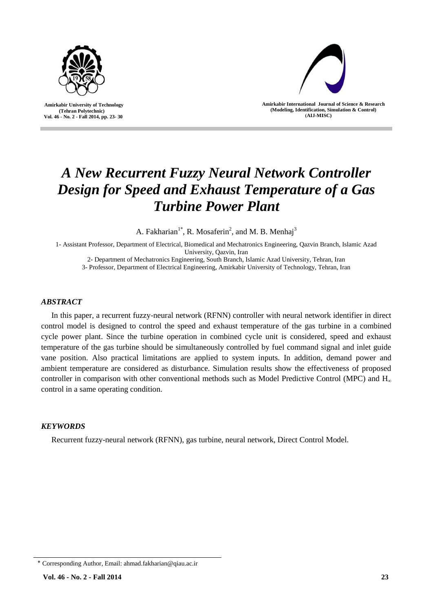

 **Amirkabir University of Technology (Tehran Polytechnic) Vol. 46 - No. 2 - Fall 2014, pp. 23- 30**



**Amirkabir International Journal of Science & Research (Modeling, Identification, Simulation & Control) )AIJ-MISC)**

# *A New Recurrent Fuzzy Neural Network Controller Design for Speed and Exhaust Temperature of a Gas Turbine Power Plant*

A. Fakharian<sup>1\*</sup>, R. Mosaferin<sup>2</sup>, and M. B. Menhaj<sup>3</sup>

1- Assistant Professor, Department of Electrical, Biomedical and Mechatronics Engineering, Qazvin Branch, Islamic Azad University, Qazvin, Iran

2- Department of Mechatronics Engineering, South Branch, Islamic Azad University, Tehran, Iran

3- Professor, Department of Electrical Engineering, Amirkabir University of Technology, Tehran, Iran

# *ABSTRACT*

In this paper, a recurrent fuzzy-neural network (RFNN) controller with neural network identifier in direct control model is designed to control the speed and exhaust temperature of the gas turbine in a combined cycle power plant. Since the turbine operation in combined cycle unit is considered, speed and exhaust temperature of the gas turbine should be simultaneously controlled by fuel command signal and inlet guide vane position. Also practical limitations are applied to system inputs. In addition, demand power and ambient temperature are considered as disturbance. Simulation results show the effectiveness of proposed controller in comparison with other conventional methods such as Model Predictive Control (MPC) and  $H_{\infty}$ control in a same operating condition.

## *KEYWORDS*

Recurrent fuzzy-neural network (RFNN), gas turbine, neural network, Direct Control Model.

<sup>٭</sup> Corresponding Author, Email: ahmad.fakharian@qiau.ac.ir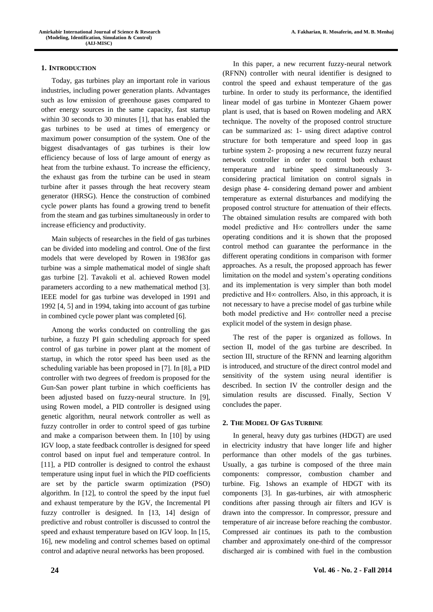## **1. INTRODUCTION**

Today, gas turbines play an important role in various industries, including power generation plants. Advantages such as low emission of greenhouse gases compared to other energy sources in the same capacity, fast startup within 30 seconds to 30 minutes [1], that has enabled the gas turbines to be used at times of emergency or maximum power consumption of the system. One of the biggest disadvantages of gas turbines is their low efficiency because of loss of large amount of energy as heat from the turbine exhaust. To increase the efficiency, the exhaust gas from the turbine can be used in steam turbine after it passes through the heat recovery steam generator (HRSG). Hence the construction of combined cycle power plants has found a growing trend to benefit from the steam and gas turbines simultaneously in order to increase efficiency and productivity.

Main subjects of researches in the field of gas turbines can be divided into modeling and control. One of the first models that were developed by Rowen in 1983for gas turbine was a simple mathematical model of single shaft gas turbine [2]. Tavakoli et al. achieved Rowen model parameters according to a new mathematical method [3]. IEEE model for gas turbine was developed in 1991 and 1992 [4, 5] and in 1994, taking into account of gas turbine in combined cycle power plant was completed [6].

Among the works conducted on controlling the gas turbine, a fuzzy PI gain scheduling approach for speed control of gas turbine in power plant at the moment of startup, in which the rotor speed has been used as the scheduling variable has been proposed in [7]. In [8], a PID controller with two degrees of freedom is proposed for the Gun-San power plant turbine in which coefficients has been adjusted based on fuzzy-neural structure. In [9], using Rowen model, a PID controller is designed using genetic algorithm, neural network controller as well as fuzzy controller in order to control speed of gas turbine and make a comparison between them. In [10] by using IGV loop, a state feedback controller is designed for speed control based on input fuel and temperature control. In [11], a PID controller is designed to control the exhaust temperature using input fuel in which the PID coefficients are set by the particle swarm optimization (PSO) algorithm. In [12], to control the speed by the input fuel and exhaust temperature by the IGV, the Incremental PI fuzzy controller is designed. In [13, 14] design of predictive and robust controller is discussed to control the speed and exhaust temperature based on IGV loop. In [15, 16], new modeling and control schemes based on optimal control and adaptive neural networks has been proposed.

In this paper, a new recurrent fuzzy-neural network (RFNN) controller with neural identifier is designed to control the speed and exhaust temperature of the gas turbine. In order to study its performance, the identified linear model of gas turbine in Montezer Ghaem power plant is used, that is based on Rowen modeling and ARX technique. The novelty of the proposed control structure can be summarized as: 1- using direct adaptive control structure for both temperature and speed loop in gas turbine system 2- proposing a new recurrent fuzzy neural network controller in order to control both exhaust temperature and turbine speed simultaneously 3 considering practical limitation on control signals in design phase 4- considering demand power and ambient temperature as external disturbances and modifying the proposed control structure for attenuation of their effects. The obtained simulation results are compared with both model predictive and H∞ controllers under the same operating conditions and it is shown that the proposed control method can guarantee the performance in the different operating conditions in comparison with former approaches. As a result, the proposed approach has fewer limitation on the model and system's operating conditions and its implementation is very simpler than both model predictive and H∞ controllers. Also, in this approach, it is not necessary to have a precise model of gas turbine while both model predictive and H∞ controller need a precise explicit model of the system in design phase.

The rest of the paper is organized as follows. In section II, model of the gas turbine are described. In section III, structure of the RFNN and learning algorithm is introduced, and structure of the direct control model and sensitivity of the system using neural identifier is described. In section IV the controller design and the simulation results are discussed. Finally, Section V concludes the paper.

# **2. THE MODEL OF GAS TURBINE**

In general, heavy duty gas turbines (HDGT) are used in electricity industry that have longer life and higher performance than other models of the gas turbines. Usually, a gas turbine is composed of the three main components: compressor, combustion chamber and turbine. Fig. 1shows an example of HDGT with its components [3]. In gas-turbines, air with atmospheric conditions after passing through air filters and IGV is drawn into the compressor. In compressor, pressure and temperature of air increase before reaching the combustor. Compressed air continues its path to the combustion chamber and approximately one-third of the compressor discharged air is combined with fuel in the combustion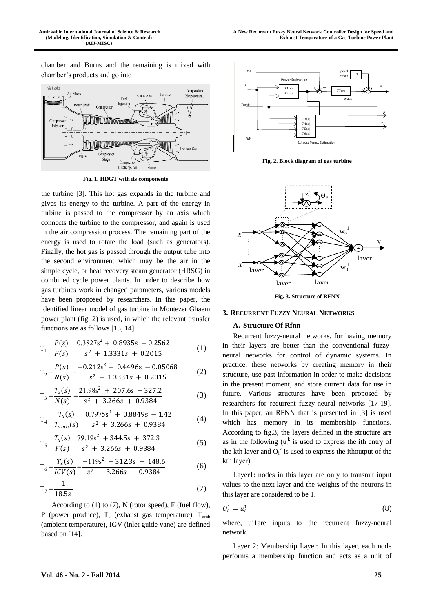chamber and Burns and the remaining is mixed with chamber's products and go into



**Fig. 1. HDGT with its components**

the turbine [3]. This hot gas expands in the turbine and gives its energy to the turbine. A part of the energy in turbine is passed to the compressor by an axis which connects the turbine to the compressor, and again is used in the air compression process. The remaining part of the energy is used to rotate the load (such as generators). Finally, the hot gas is passed through the output tube into the second environment which may be the air in the simple cycle, or heat recovery steam generator (HRSG) in combined cycle power plants. In order to describe how gas turbines work in changed parameters, various models have been proposed by researchers. In this paper, the identified linear model of gas turbine in Montezer Ghaem power plant (fig. 2) is used, in which the relevant transfer functions are as follows [13, 14]:

$$
T_1 = \frac{P(s)}{F(s)} = \frac{0.3827s^2 + 0.8935s + 0.2562}{s^2 + 1.3331s + 0.2015}
$$
 (1)

$$
T_2 = \frac{P(s)}{N(s)} = \frac{-0.212s^2 - 0.4496s - 0.05068}{s^2 + 1.3331s + 0.2015}
$$
 (2)

$$
T_3 = \frac{T_x(s)}{N(s)} = \frac{21.98s^2 + 207.6s + 327.2}{s^2 + 3.266s + 0.9384}
$$
 (3)

$$
T_4 = \frac{T_x(s)}{T_{amb}(s)} = \frac{0.7975s^2 + 0.8849s - 1.42}{s^2 + 3.266s + 0.9384}
$$
(4)

$$
T_5 = \frac{T_x(s)}{F(s)} = \frac{79.19s^2 + 344.5s + 372.3}{s^2 + 3.266s + 0.9384}
$$
 (5)

$$
T_6 = \frac{T_x(s)}{IGV(s)} = \frac{-119s^2 + 312.3s - 148.6}{s^2 + 3.266s + 0.9384}
$$
(6)

$$
T_7 = \frac{1}{18.5s} \tag{7}
$$

According to  $(1)$  to  $(7)$ , N (rotor speed), F (fuel flow), P (power produce),  $T_x$  (exhaust gas temperature),  $T_{amb}$ (ambient temperature), IGV (inlet guide vane) are defined based on [14].



**Fig. 2. Block diagram of gas turbine**



**Fig. 3. Structure of RFNN**

#### **3. RECURRENT FUZZY NEURAL NETWORKS**

## **A. Structure Of Rfnn**

Recurrent fuzzy-neural networks, for having memory in their layers are better than the conventional fuzzyneural networks for control of dynamic systems. In practice, these networks by creating memory in their structure, use past information in order to make decisions in the present moment, and store current data for use in future. Various structures have been proposed by researchers for recurrent fuzzy-neural networks [17-19]. In this paper, an RFNN that is presented in [3] is used which has memory in its membership functions. According to fig.3, the layers defined in the structure are as in the following  $(u_i^k)$  is used to express the ith entry of the kth layer and  $O_i^k$  is used to express the ithoutput of the kth layer)

Layer1: nodes in this layer are only to transmit input values to the next layer and the weights of the neurons in this layer are considered to be 1.

$$
O_i^1 = u_i^1 \tag{8}
$$

where, uilare inputs to the recurrent fuzzy-neural network.

Layer 2: Membership Layer: In this layer, each node performs a membership function and acts as a unit of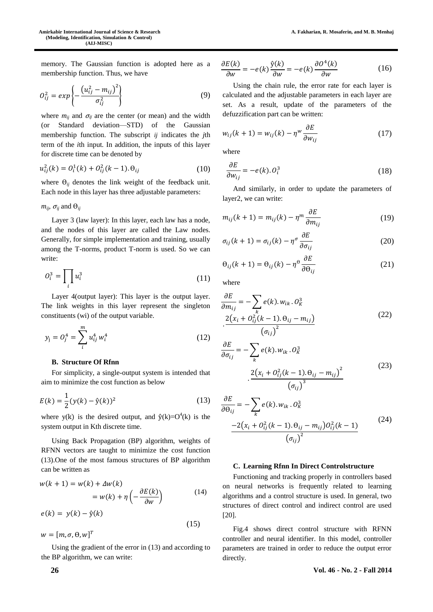memory. The Gaussian function is adopted here as a membership function. Thus, we have

$$
O_{ij}^2 = exp\left\{-\frac{(u_{ij}^2 - m_{ij})^2}{\sigma_{ij}^2}\right\}
$$
 (9)

where  $m_{ij}$  and  $\sigma_{ij}$  are the center (or mean) and the width (or Standard deviation—STD) of the Gaussian membership function. The subscript *ij* indicates the *j*th term of the *i*th input. In addition, the inputs of this layer for discrete time can be denoted by

$$
u_{ij}^2(k) = O_i^1(k) + O_{ij}^2(k-1). \Theta_{ij}
$$
 (10)

where  $\Theta_{ij}$  denotes the link weight of the feedback unit. Each node in this layer has three adjustable parameters:

 $m_{ii}$ ,  $\sigma_{ii}$  and  $\Theta_{ii}$ 

Layer 3 (law layer): In this layer, each law has a node, and the nodes of this layer are called the Law nodes. Generally, for simple implementation and training, usually among the T-norms, product T-norm is used. So we can write:

$$
O_i^3 = \prod_i u_i^3 \tag{11}
$$

Layer 4(output layer): This layer is the output layer. The link weights in this layer represent the singleton constituents (wi) of the output variable.

$$
y_j = O_j^4 = \sum_i^m u_{ij}^4 w_i^4
$$
 (12)

## **B. Structure Of Rfnn**

For simplicity, a single-output system is intended that aim to minimize the cost function as below

$$
E(k) = \frac{1}{2}(y(k) - \hat{y}(k))^2
$$
 (13)

where  $y(k)$  is the desired output, and  $\hat{y}(k)=O^4(k)$  is the system output in Kth discrete time.

Using Back Propagation (BP) algorithm, weights of RFNN vectors are taught to minimize the cost function (13).One of the most famous structures of BP algorithm can be written as

$$
w(k + 1) = w(k) + \Delta w(k)
$$
  
=  $w(k) + \eta \left( -\frac{\partial E(k)}{\partial w} \right)$  (14)  
 $e(k) = y(k) - \hat{y}(k)$ 

$$
w = [m, \sigma, \theta, w]^T
$$
\n(15)

Using the gradient of the error in (13) and according to the BP algorithm, we can write:

$$
\frac{\partial E(k)}{\partial w} = -e(k)\frac{\hat{y}(k)}{\partial w} = -e(k)\frac{\partial \theta^4(k)}{\partial w}
$$
 (16)

Using the chain rule, the error rate for each layer is calculated and the adjustable parameters in each layer are set. As a result, update of the parameters of the defuzzification part can be written:

$$
w_{ij}(k+1) = w_{ij}(k) - \eta^w \frac{\partial E}{\partial w_{ij}} \tag{17}
$$

where

$$
\frac{\partial E}{\partial w_{ij}} = -e(k).O_i^3 \tag{18}
$$

And similarly, in order to update the parameters of layer2, we can write:

$$
m_{ij}(k+1) = m_{ij}(k) - \eta^m \frac{\partial E}{\partial m_{ij}}
$$
 (19)

$$
\sigma_{ij}(k+1) = \sigma_{ij}(k) - \eta^{\sigma} \frac{\partial E}{\partial \sigma_{ij}}
$$
\n(20)

$$
\Theta_{ij}(k+1) = \Theta_{ij}(k) - \eta^{\Theta} \frac{\partial E}{\partial \Theta_{ij}}
$$
 (21)

where

$$
\frac{\partial E}{\partial m_{ij}} = -\sum_{k} e(k). w_{ik}. O_{k}^{3}
$$

$$
\frac{2(x_{i} + O_{ij}^{2}(k-1). \Theta_{ij} - m_{ij})}{(\sigma_{ij})^{2}}
$$
(22)

$$
\frac{\partial E}{\partial \sigma_{ij}} = -\sum_{k} e(k). w_{ik}. O_K^3
$$

$$
\frac{2(x_i + O_{ij}^2(k-1). \Theta_{ij} - m_{ij})^2}{( \sigma_{ij})^3}
$$
(23)

$$
\frac{\partial E}{\partial \theta_{ij}} = -\sum_{k} e(k) . w_{ik} . \theta_{k}^{3}
$$

$$
\frac{-2(x_{i} + \theta_{ij}^{2}(k-1) . \theta_{ij} - m_{ij}) \theta_{ij}^{2}(k-1)}{(\sigma_{ij})^{2}}
$$
(24)

## **C. Learning Rfnn In Direct Controlstructure**

Functioning and tracking properly in controllers based on neural networks is frequently related to learning algorithms and a control structure is used. In general, two structures of direct control and indirect control are used [20].

Fig.4 shows direct control structure with RFNN controller and neural identifier. In this model, controller parameters are trained in order to reduce the output error directly.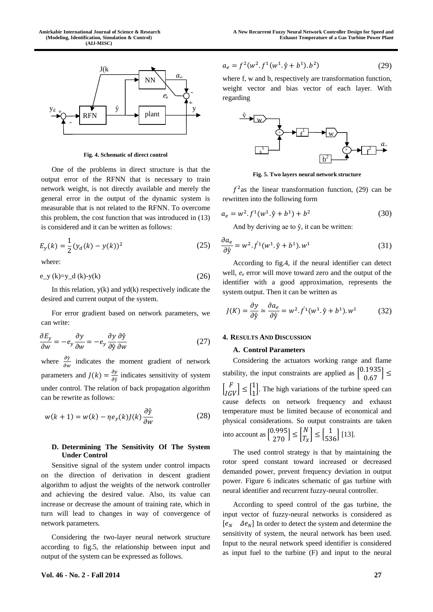

**Fig. 4. Schematic of direct control**

One of the problems in direct structure is that the output error of the RFNN that is necessary to train network weight, is not directly available and merely the general error in the output of the dynamic system is measurable that is not related to the RFNN. To overcome this problem, the cost function that was introduced in (13) is considered and it can be written as follows:

$$
E_y(k) = \frac{1}{2}(y_d(k) - y(k))^2
$$
 (25)

where:

$$
e_y(k)=y_d(k)-y(k)
$$
 (26)

In this relation,  $y(k)$  and  $yd(k)$  respectively indicate the desired and current output of the system.

For error gradient based on network parameters, we can write:

$$
\frac{\partial E_y}{\partial w} = -e_y \frac{\partial y}{\partial w} = -e_y \frac{\partial y}{\partial \hat{y}} \frac{\partial \hat{y}}{\partial w}
$$
(27)

where  $\frac{\partial \hat{y}}{\partial w}$  indicates the moment gradient of network parameters and  $J(k) = \frac{\partial y}{\partial k}$  $\frac{\partial y}{\partial \hat{y}}$  indicates sensitivity of system under control. The relation of back propagation algorithm can be rewrite as follows:

$$
w(k+1) = w(k) - \eta e_y(k) J(k) \frac{\partial \hat{y}}{\partial w}
$$
 (28)

## **D. Determining The Sensitivity Of The System Under Control**

Sensitive signal of the system under control impacts on the direction of derivation in descent gradient algorithm to adjust the weights of the network controller and achieving the desired value. Also, its value can increase or decrease the amount of training rate, which in turn will lead to changes in way of convergence of network parameters.

Considering the two-layer neural network structure according to fig.5, the relationship between input and output of the system can be expressed as follows.

$$
a_e = f^2(w^2 \cdot f^1(w^1 \cdot \hat{y} + b^1) \cdot b^2)
$$
 (29)

where f, w and b, respectively are transformation function, weight vector and bias vector of each layer. With regarding



**Fig. 5. Two layers neural network structure**

 $f<sup>2</sup>$  as the linear transformation function, (29) can be rewritten into the following form

$$
a_e = w^2 \cdot f^1(w^1 \cdot \hat{y} + b^1) + b^2 \tag{30}
$$

And by deriving ae to  $\hat{y}$ , it can be written:

$$
\frac{\partial a_e}{\partial \hat{y}} = w^2 \cdot f^1(w^1 \cdot \hat{y} + b^1) \cdot w^1 \tag{31}
$$

According to fig.4, if the neural identifier can detect well, *e<sup>e</sup>* error will move toward zero and the output of the identifier with a good approximation, represents the system output. Then it can be written as

$$
J(K) = \frac{\partial y}{\partial \hat{y}} \simeq \frac{\partial a_e}{\partial \hat{y}} = w^2 \cdot f^1(w^1 \cdot \hat{y} + b^1) \cdot w^1 \tag{32}
$$

#### **4. RESULTS AND DISCUSSION**

#### **A. Control Parameters**

Considering the actuators working range and flame stability, the input constraints are applied as  $\begin{bmatrix} 0.1935 \\ 0.67 \end{bmatrix} \le$  $\begin{bmatrix} F \\ IGV \end{bmatrix} \leq \begin{bmatrix} 1 \\ 1 \end{bmatrix}$ 1 ]. The high variations of the turbine speed can cause defects on network frequency and exhaust temperature must be limited because of economical and physical considerations. So output constraints are taken into account as  $\begin{bmatrix} 0.995 \\ 270 \end{bmatrix} \leq \begin{bmatrix} N \\ T_{\lambda} \end{bmatrix}$  $\begin{bmatrix} N \\ T_X \end{bmatrix} \leq \begin{bmatrix} 1 \\ 536 \end{bmatrix}$  [13].

The used control strategy is that by maintaining the rotor speed constant toward increased or decreased demanded power, prevent frequency deviation in output power. Figure 6 indicates schematic of gas turbine with neural identifier and recurrent fuzzy-neural controller.

According to speed control of the gas turbine, the input vector of fuzzy-neural networks is considered as  $[e_N \quad \Delta e_N]$  In order to detect the system and determine the sensitivity of system, the neural network has been used. Input to the neural network speed identifier is considered as input fuel to the turbine (F) and input to the neural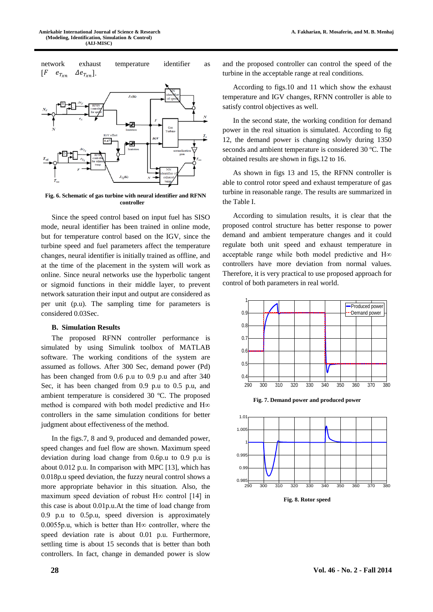

**Fig. 6. Schematic of gas turbine with neural identifier and RFNN controller**

Since the speed control based on input fuel has SISO mode, neural identifier has been trained in online mode, but for temperature control based on the IGV, since the turbine speed and fuel parameters affect the temperature changes, neural identifier is initially trained as offline, and at the time of the placement in the system will work as online. Since neural networks use the hyperbolic tangent or sigmoid functions in their middle layer, to prevent network saturation their input and output are considered as per unit (p.u). The sampling time for parameters is considered 0.03Sec.

#### **B. Simulation Results**

The proposed RFNN controller performance is simulated by using Simulink toolbox of MATLAB software. The working conditions of the system are assumed as follows. After 300 Sec, demand power (Pd) has been changed from 0.6 p.u to 0.9 p.u and after 340 Sec, it has been changed from 0.9 p.u to 0.5 p.u, and ambient temperature is considered 30 ºC. The proposed method is compared with both model predictive and H∞ controllers in the same simulation conditions for better judgment about effectiveness of the method.

In the figs.7, 8 and 9, produced and demanded power, speed changes and fuel flow are shown. Maximum speed deviation during load change from 0.6p.u to 0.9 p.u is about 0.012 p.u. In comparison with MPC [13], which has 0.018p.u speed deviation, the fuzzy neural control shows a more appropriate behavior in this situation. Also, the maximum speed deviation of robust H∞ control [14] in this case is about 0.01p.u.At the time of load change from 0.9 p.u to 0.5p.u, speed diversion is approximately 0.0055p.u, which is better than  $H\infty$  controller, where the speed deviation rate is about 0.01 p.u. Furthermore, settling time is about 15 seconds that is better than both controllers. In fact, change in demanded power is slow

and the proposed controller can control the speed of the turbine in the acceptable range at real conditions.

According to figs.10 and 11 which show the exhaust temperature and IGV changes, RFNN controller is able to satisfy control objectives as well.

In the second state, the working condition for demand power in the real situation is simulated. According to fig 12, the demand power is changing slowly during 1350 seconds and ambient temperature is considered 30 °C. The obtained results are shown in figs.12 to 16.

As shown in figs 13 and 15, the RFNN controller is able to control rotor speed and exhaust temperature of gas turbine in reasonable range. The results are summarized in the Table I.

According to simulation results, it is clear that the proposed control structure has better response to power demand and ambient temperature changes and it could regulate both unit speed and exhaust temperature in acceptable range while both model predictive and H∞ controllers have more deviation from normal values. Therefore, it is very practical to use proposed approach for control of both parameters in real world.



**Fig. 7. Demand power and produced power**



**Fig. 8. Rotor speed**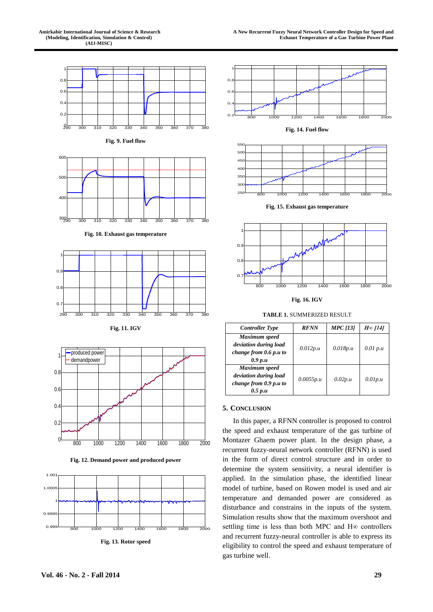

**Fig. 12. Demand power and produced power**



**Fig. 13. Rotor speed**





**Fig. 15. Exhaust gas temperature**



**Fig. 16. IGV**

**TABLE 1.** SUMMERIZED RESULT

| <b>Controller Type</b>                                                        | <b>RFNN</b> | <b>MPC</b> [13] | $H\in$ [14] |
|-------------------------------------------------------------------------------|-------------|-----------------|-------------|
| Maximum speed<br>deviation during load<br>change from 0.6 p.u to<br>0.9 p.u   | 0.012p.u    | 0.018p.u        | 0.01 p.u    |
| Maximum speed<br>deviation during load<br>change from $0.9$ p.u to<br>0.5 p.u | 0.0055p.u   | 0.02p.u         | 0.01p.u     |

# **5. CONCLUSION**

In this paper, a RFNN controller is proposed to control the speed and exhaust temperature of the gas turbine of Montazer Ghaem power plant. In the design phase, a recurrent fuzzy-neural network controller (RFNN) is used in the form of direct control structure and in order to determine the system sensitivity, a neural identifier is applied. In the simulation phase, the identified linear model of turbine, based on Rowen model is used and air temperature and demanded power are considered as disturbance and constrains in the inputs of the system. Simulation results show that the maximum overshoot and settling time is less than both MPC and H∞ controllers and recurrent fuzzy-neural controller is able to express its eligibility to control the speed and exhaust temperature of gas turbine well.